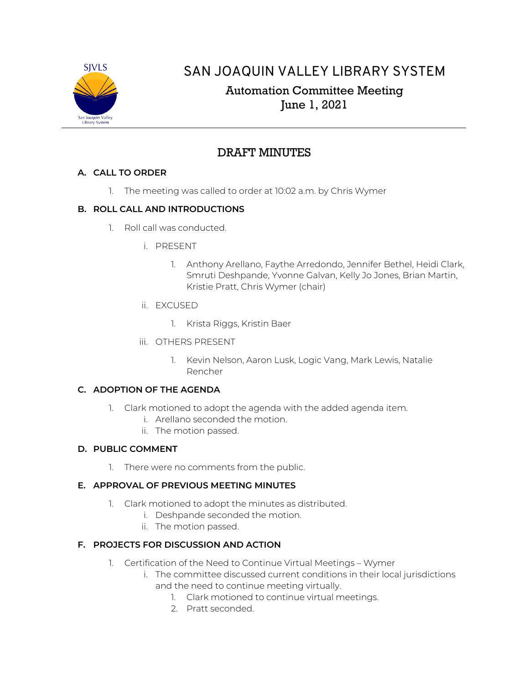

# SAN JOAQUIN VALLEY LIBRARY SYSTEM

# Automation Committee Meeting June 1, 2021

# DRAFT MINUTES

## **A. CALL TO ORDER**

1. The meeting was called to order at 10:02 a.m. by Chris Wymer

## **B. ROLL CALL AND INTRODUCTIONS**

- 1. Roll call was conducted.
	- i. PRESENT
		- 1. Anthony Arellano, Faythe Arredondo, Jennifer Bethel, Heidi Clark, Smruti Deshpande, Yvonne Galvan, Kelly Jo Jones, Brian Martin, Kristie Pratt, Chris Wymer (chair)
	- ii. EXCUSED
		- 1. Krista Riggs, Kristin Baer
	- iii. OTHERS PRESENT
		- 1. Kevin Nelson, Aaron Lusk, Logic Vang, Mark Lewis, Natalie Rencher

### **C. ADOPTION OF THE AGENDA**

- 1. Clark motioned to adopt the agenda with the added agenda item.
	- i. Arellano seconded the motion.
	- ii. The motion passed.

### **D. PUBLIC COMMENT**

1. There were no comments from the public.

### **E. APPROVAL OF PREVIOUS MEETING MINUTES**

- 1. Clark motioned to adopt the minutes as distributed.
	- i. Deshpande seconded the motion.
	- ii. The motion passed.

### **F. PROJECTS FOR DISCUSSION AND ACTION**

- 1. Certification of the Need to Continue Virtual Meetings Wymer
	- i. The committee discussed current conditions in their local jurisdictions and the need to continue meeting virtually.
		- 1. Clark motioned to continue virtual meetings.
		- 2. Pratt seconded.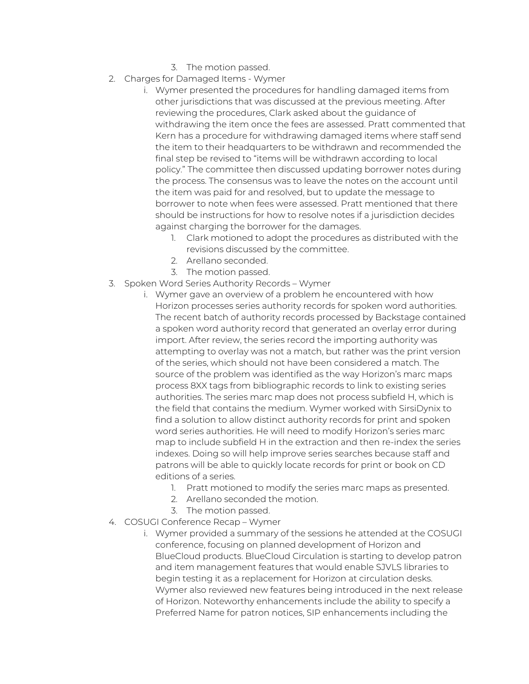- 3. The motion passed.
- 2. Charges for Damaged Items Wymer
	- i. Wymer presented the procedures for handling damaged items from other jurisdictions that was discussed at the previous meeting. After reviewing the procedures, Clark asked about the guidance of withdrawing the item once the fees are assessed. Pratt commented that Kern has a procedure for withdrawing damaged items where staff send the item to their headquarters to be withdrawn and recommended the final step be revised to "items will be withdrawn according to local policy." The committee then discussed updating borrower notes during the process. The consensus was to leave the notes on the account until the item was paid for and resolved, but to update the message to borrower to note when fees were assessed. Pratt mentioned that there should be instructions for how to resolve notes if a jurisdiction decides against charging the borrower for the damages.
		- 1. Clark motioned to adopt the procedures as distributed with the revisions discussed by the committee.
		- 2. Arellano seconded.
		- 3. The motion passed.
- 3. Spoken Word Series Authority Records Wymer
	- i. Wymer gave an overview of a problem he encountered with how Horizon processes series authority records for spoken word authorities. The recent batch of authority records processed by Backstage contained a spoken word authority record that generated an overlay error during import. After review, the series record the importing authority was attempting to overlay was not a match, but rather was the print version of the series, which should not have been considered a match. The source of the problem was identified as the way Horizon's marc maps process 8XX tags from bibliographic records to link to existing series authorities. The series marc map does not process subfield H, which is the field that contains the medium. Wymer worked with SirsiDynix to find a solution to allow distinct authority records for print and spoken word series authorities. He will need to modify Horizon's series marc map to include subfield H in the extraction and then re-index the series indexes. Doing so will help improve series searches because staff and patrons will be able to quickly locate records for print or book on CD editions of a series.
		- 1. Pratt motioned to modify the series marc maps as presented.
		- 2. Arellano seconded the motion.
		- 3. The motion passed.
- 4. COSUGI Conference Recap Wymer
	- i. Wymer provided a summary of the sessions he attended at the COSUGI conference, focusing on planned development of Horizon and BlueCloud products. BlueCloud Circulation is starting to develop patron and item management features that would enable SJVLS libraries to begin testing it as a replacement for Horizon at circulation desks. Wymer also reviewed new features being introduced in the next release of Horizon. Noteworthy enhancements include the ability to specify a Preferred Name for patron notices, SIP enhancements including the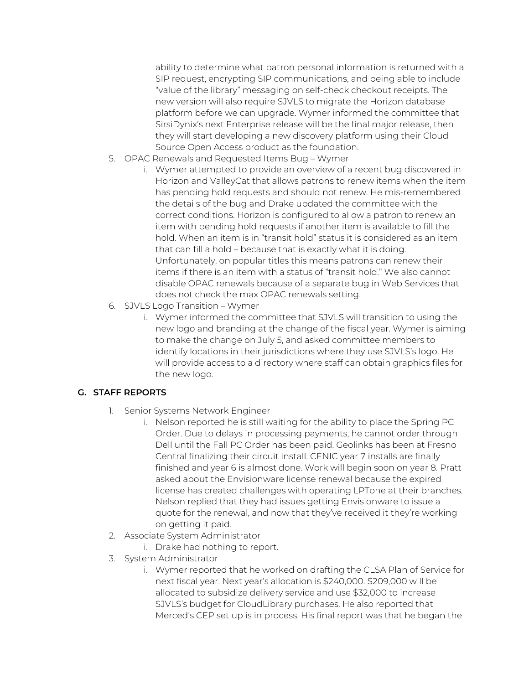ability to determine what patron personal information is returned with a SIP request, encrypting SIP communications, and being able to include "value of the library" messaging on self-check checkout receipts. The new version will also require SJVLS to migrate the Horizon database platform before we can upgrade. Wymer informed the committee that SirsiDynix's next Enterprise release will be the final major release, then they will start developing a new discovery platform using their Cloud Source Open Access product as the foundation.

- 5. OPAC Renewals and Requested Items Bug Wymer
	- i. Wymer attempted to provide an overview of a recent bug discovered in Horizon and ValleyCat that allows patrons to renew items when the item has pending hold requests and should not renew. He mis-remembered the details of the bug and Drake updated the committee with the correct conditions. Horizon is configured to allow a patron to renew an item with pending hold requests if another item is available to fill the hold. When an item is in "transit hold" status it is considered as an item that can fill a hold – because that is exactly what it is doing. Unfortunately, on popular titles this means patrons can renew their items if there is an item with a status of "transit hold." We also cannot disable OPAC renewals because of a separate bug in Web Services that does not check the max OPAC renewals setting.
- 6. SJVLS Logo Transition Wymer
	- i. Wymer informed the committee that SJVLS will transition to using the new logo and branding at the change of the fiscal year. Wymer is aiming to make the change on July 5, and asked committee members to identify locations in their jurisdictions where they use SJVLS's logo. He will provide access to a directory where staff can obtain graphics files for the new logo.

#### **G. STAFF REPORTS**

- 1. Senior Systems Network Engineer
	- i. Nelson reported he is still waiting for the ability to place the Spring PC Order. Due to delays in processing payments, he cannot order through Dell until the Fall PC Order has been paid. Geolinks has been at Fresno Central finalizing their circuit install. CENIC year 7 installs are finally finished and year 6 is almost done. Work will begin soon on year 8. Pratt asked about the Envisionware license renewal because the expired license has created challenges with operating LPTone at their branches. Nelson replied that they had issues getting Envisionware to issue a quote for the renewal, and now that they've received it they're working on getting it paid.
- 2. Associate System Administrator
	- i. Drake had nothing to report.
- 3. System Administrator
	- i. Wymer reported that he worked on drafting the CLSA Plan of Service for next fiscal year. Next year's allocation is \$240,000. \$209,000 will be allocated to subsidize delivery service and use \$32,000 to increase SJVLS's budget for CloudLibrary purchases. He also reported that Merced's CEP set up is in process. His final report was that he began the